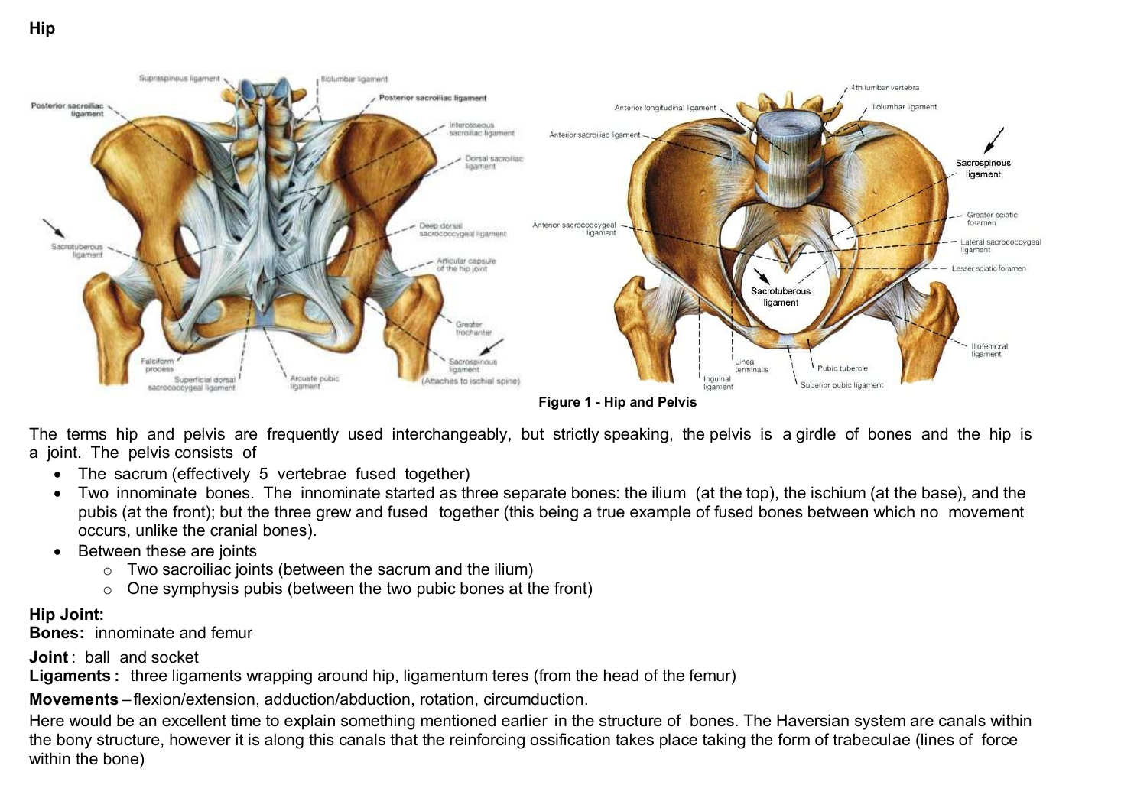

**Figure 1 - Hip and Pelvis**

The terms hip and pelvis are frequently used interchangeably, but strictly speaking, the pelvis is a girdle of bones and the hip is a joint. The pelvis consists of

- The sacrum (effectively 5 vertebrae fused together)
- Two innominate bones. The innominate started as three separate bones: the ilium (at the top), the ischium (at the base), and the pubis (at the front); but the three grew and fused together (this being a true example of fused bones between which no movement occurs, unlike the cranial bones).
- Between these are joints
	- $\circ$  Two sacroiliac joints (between the sacrum and the ilium)
	- $\circ$  One symphysis pubis (between the two pubic bones at the front)

#### **Hip Joint:**

**Bones:** innominate and femur

**Joint** : ball and socket

**Ligaments :** three ligaments wrapping around hip, ligamentum teres (from the head of the femur)

**Movements** – flexion/extension, adduction/abduction, rotation, circumduction.

Here would be an excellent time to explain something mentioned earlier in the structure of bones. The Haversian system are canals within the bony structure, however it is along this canals that the reinforcing ossification takes place taking the form of trabeculae (lines of force within the bone)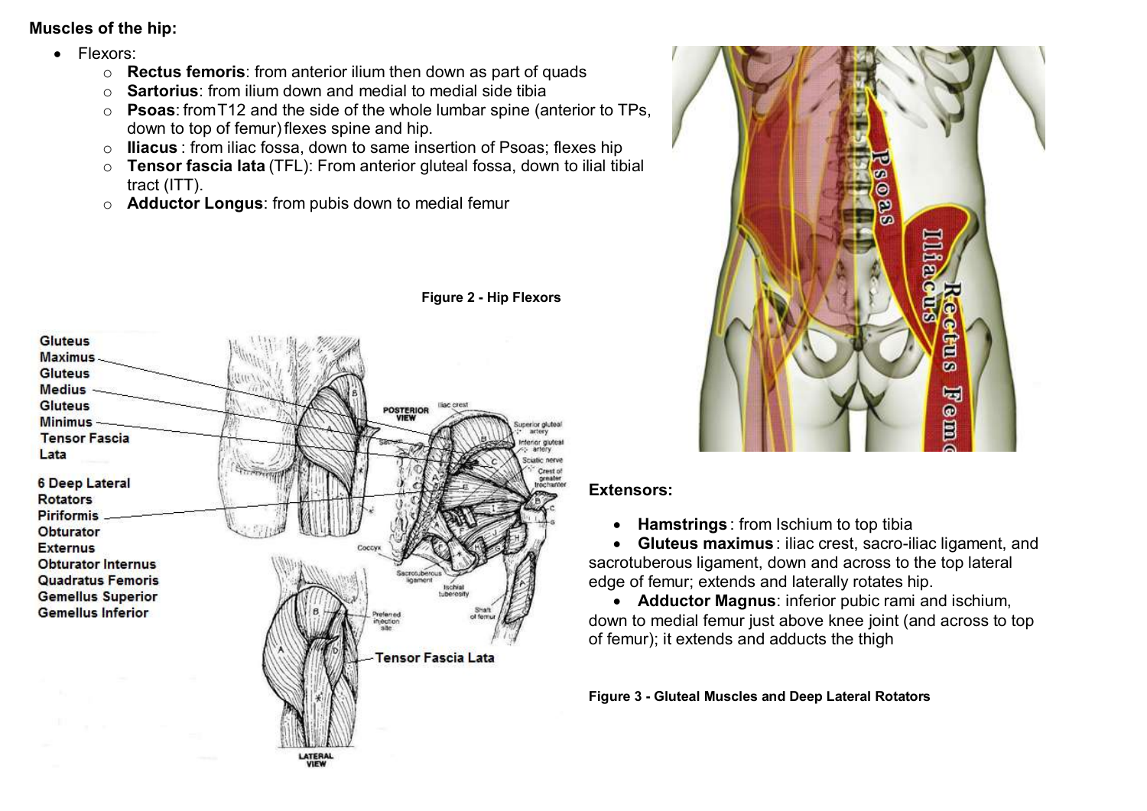### **Muscles of the hip:**

- Flexors:
	- o **Rectus femoris**: from anterior ilium then down as part of quads
	- o **Sartorius**: from ilium down and medial to medial side tibia
	- o **Psoas**: fromT12 and the side of the whole lumbar spine (anterior to TPs, down to top of femur) flexes spine and hip.
	- o **Iliacus** : from iliac fossa, down to same insertion of Psoas; flexes hip
	- o **Tensor fascia lata** (TFL): From anterior gluteal fossa, down to ilial tibial tract (ITT).
	- o **Adductor Longus**: from pubis down to medial femur



**Figure 2 - Hip Flexors**

# Iliac € Ō Q Ě .<br>M 喝 u o

### **Extensors:**

**Hamstrings** : from Ischium to top tibia

 **Gluteus maximus** : iliac crest, sacro-iliac ligament, and sacrotuberous ligament, down and across to the top lateral edge of femur; extends and laterally rotates hip.

 **Adductor Magnus**: inferior pubic rami and ischium, down to medial femur just above knee joint (and across to top of femur); it extends and adducts the thigh

**Figure 3 - Gluteal Muscles and Deep Lateral Rotators**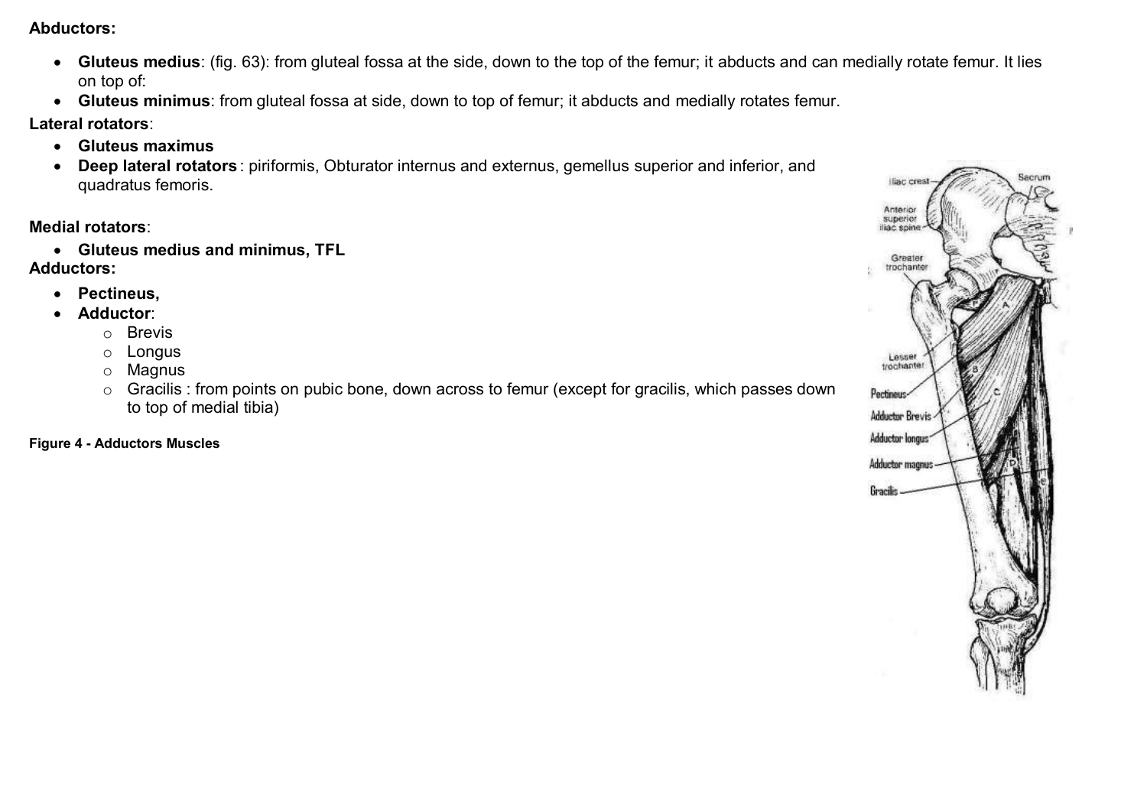**Abductors:**

- **Gluteus medius**: (fig. 63): from gluteal fossa at the side, down to the top of the femur; it abducts and can medially rotate femur. It lies on top of:
- **Gluteus minimus**: from gluteal fossa at side, down to top of femur; it abducts and medially rotates femur.

**Lateral rotators**:

- **Gluteus maximus**
- **Deep lateral rotators** : piriformis, Obturator internus and externus, gemellus superior and inferior, and quadratus femoris.

#### **Medial rotators**:

**Gluteus medius and minimus, TFL** 

**Adductors:** 

- **Pectineus,**
- **Adductor**:
	- o Brevis
	- o Longus
	- o Magnus
	- o Gracilis : from points on pubic bone, down across to femur (except for gracilis, which passes down to top of medial tibia)

**Figure 4 - Adductors Muscles**

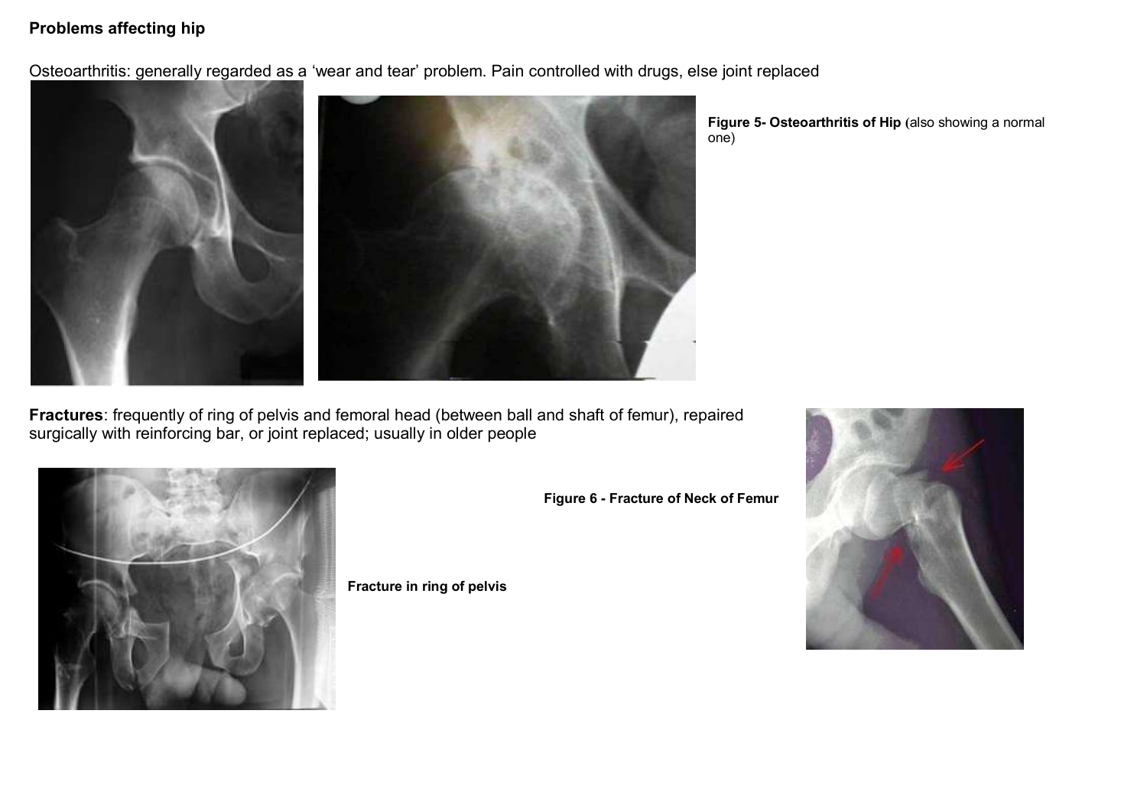#### **Problems affecting hip**

Osteoarthritis: generally regarded as a 'wear and tear' problem. Pain controlled with drugs, else joint replaced



**Figure 5- Osteoarthritis of Hip (**also showing a normal one)

**Fractures**: frequently of ring of pelvis and femoral head (between ball and shaft of femur), repaired surgically with reinforcing bar, or joint replaced; usually in older people



**Fracture in ring of pelvis**

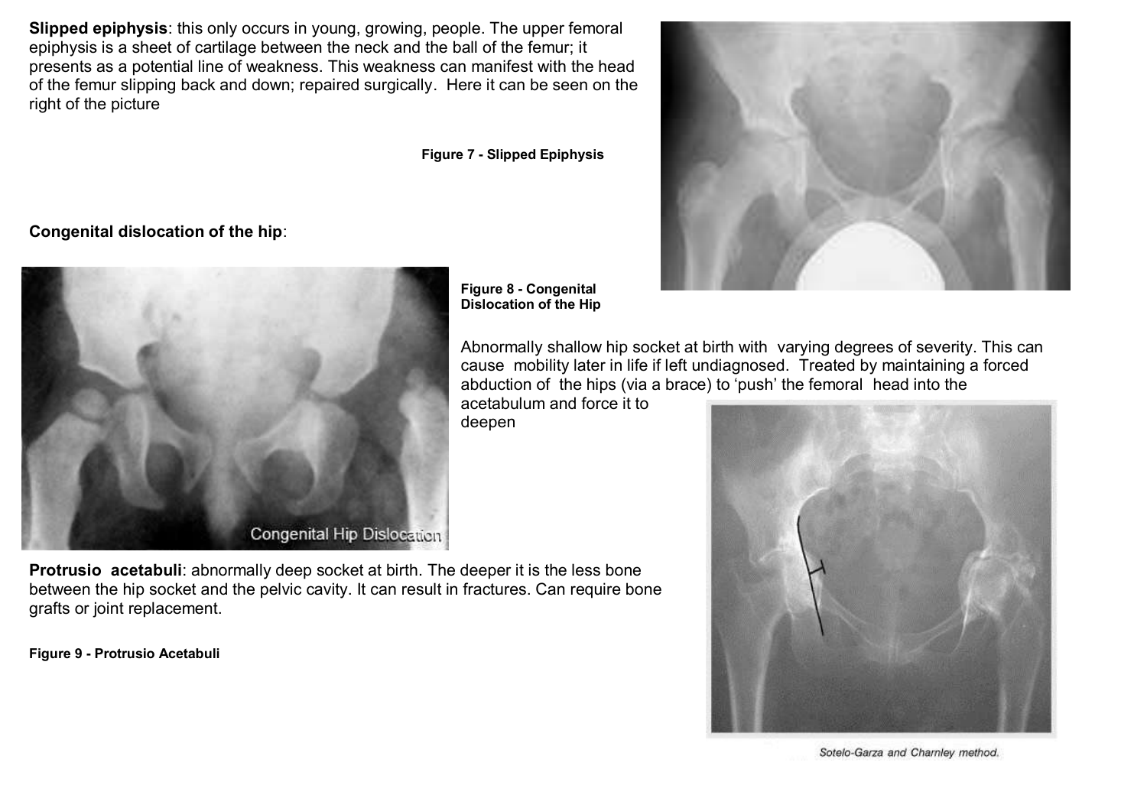**Slipped epiphysis**: this only occurs in young, growing, people. The upper femoral epiphysis is a sheet of cartilage between the neck and the ball of the femur; it presents as a potential line of weakness. This weakness can manifest with the head of the femur slipping back and down; repaired surgically. Here it can be seen on the right of the picture

**Figure 7 - Slipped Epiphysis**

**Congenital dislocation of the hip**:



**Figure 8 - Congenital Dislocation of the Hip**

Abnormally shallow hip socket at birth with varying degrees of severity. This can cause mobility later in life if left undiagnosed. Treated by maintaining a forced abduction of the hips (via a brace) to 'push' the femoral head into the

acetabulum and force it to deepen



**Figure 9 - Protrusio Acetabuli**





Sotelo-Garza and Charnley method.